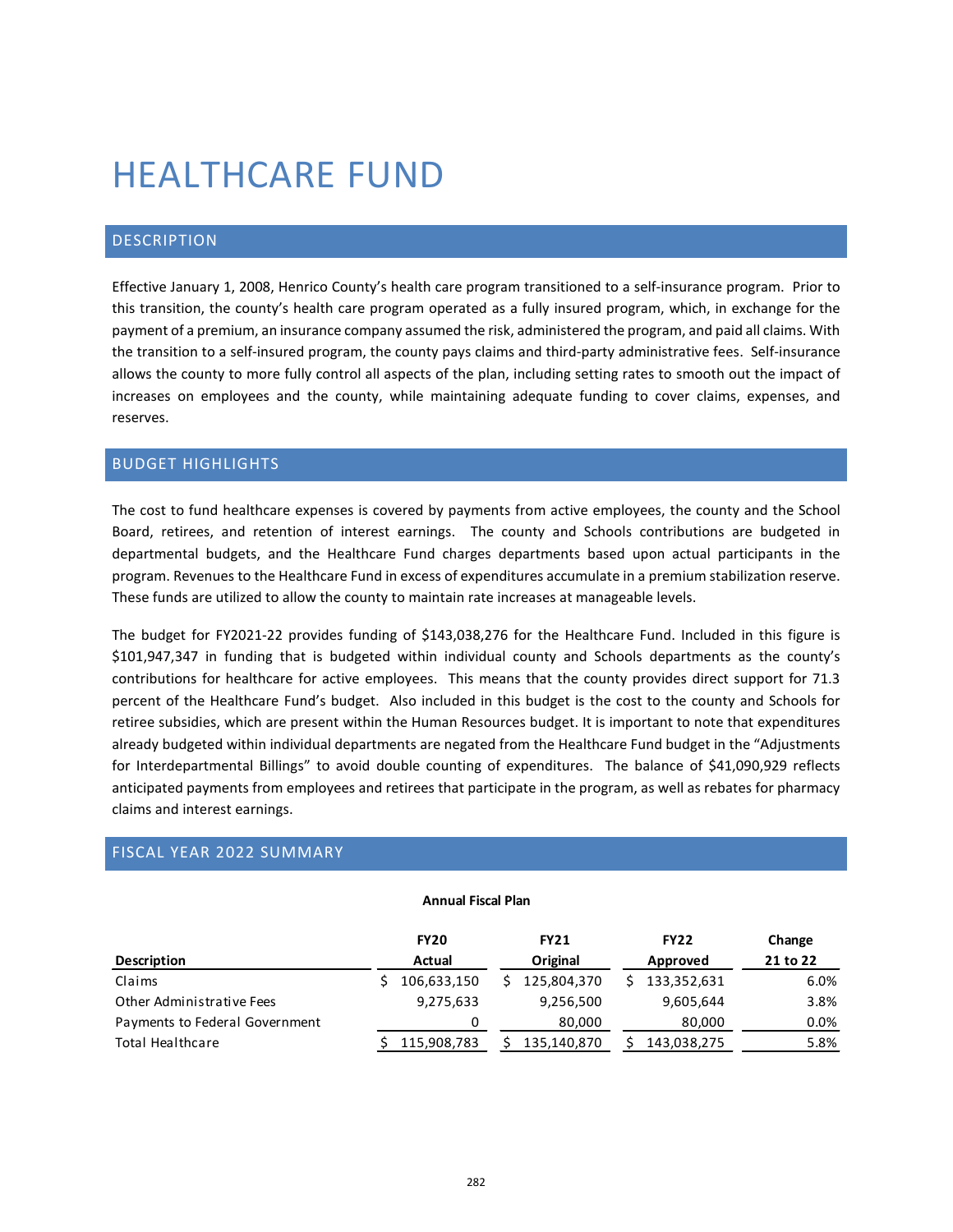# HEALTHCARE FUND

## DESCRIPTION

Effective January 1, 2008, Henrico County's health care program transitioned to a self-insurance program. Prior to this transition, the county's health care program operated as a fully insured program, which, in exchange for the payment of a premium, an insurance company assumed the risk, administered the program, and paid all claims. With the transition to a self-insured program, the county pays claims and third-party administrative fees. Self-insurance allows the county to more fully control all aspects of the plan, including setting rates to smooth out the impact of increases on employees and the county, while maintaining adequate funding to cover claims, expenses, and reserves.

## BUDGET HIGHLIGHTS

The cost to fund healthcare expenses is covered by payments from active employees, the county and the School Board, retirees, and retention of interest earnings. The county and Schools contributions are budgeted in departmental budgets, and the Healthcare Fund charges departments based upon actual participants in the program. Revenues to the Healthcare Fund in excess of expenditures accumulate in a premium stabilization reserve. These funds are utilized to allow the county to maintain rate increases at manageable levels.

The budget for FY2021-22 provides funding of \$143,038,276 for the Healthcare Fund. Included in this figure is \$101,947,347 in funding that is budgeted within individual county and Schools departments as the county's contributions for healthcare for active employees. This means that the county provides direct support for 71.3 percent of the Healthcare Fund's budget. Also included in this budget is the cost to the county and Schools for retiree subsidies, which are present within the Human Resources budget. It is important to note that expenditures already budgeted within individual departments are negated from the Healthcare Fund budget in the "Adjustments for Interdepartmental Billings" to avoid double counting of expenditures. The balance of \$41,090,929 reflects anticipated payments from employees and retirees that participate in the program, as well as rebates for pharmacy claims and interest earnings.

## FISCAL YEAR 2022 SUMMARY

#### **Annual Fiscal Plan**

|                                | <b>FY20</b> | <b>FY21</b> | <b>FY22</b> | Change   |  |
|--------------------------------|-------------|-------------|-------------|----------|--|
| <b>Description</b>             | Actual      | Original    | Approved    | 21 to 22 |  |
| Claims                         | 106,633,150 | 125,804,370 | 133,352,631 | 6.0%     |  |
| Other Administrative Fees      | 9,275,633   | 9,256,500   | 9,605,644   | 3.8%     |  |
| Payments to Federal Government |             | 80.000      | 80,000      | $0.0\%$  |  |
| Total Healthcare               | 115,908,783 | 135,140,870 | 143,038,275 | 5.8%     |  |